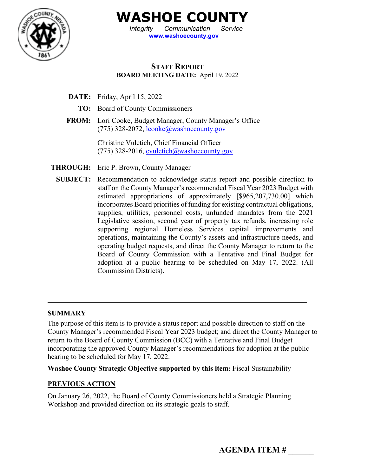

**WASHOE COUNTY**

*Integrity Communication Service* **[www.washoecounty.gov](http://www.washoecounty.gov/)**

### **STAFF REPORT BOARD MEETING DATE:** April 19, 2022

- **DATE:** Friday, April 15, 2022
	- **TO:** Board of County Commissioners
- **FROM:** Lori Cooke, Budget Manager, County Manager's Office (775) 328-2072, [lcooke@washoecounty.gov](mailto:lcooke@washoecounty.gov)

Christine Vuletich, Chief Financial Officer (775) 328-2016, [cvuletich@washoecounty.gov](mailto:cvuletich@washoecounty.us)

**THROUGH:** Eric P. Brown, County Manager

**SUBJECT:** Recommendation to acknowledge status report and possible direction to staff on the County Manager's recommended Fiscal Year 2023 Budget with estimated appropriations of approximately [\$965,207,730.00] which incorporates Board priorities of funding for existing contractual obligations, supplies, utilities, personnel costs, unfunded mandates from the 2021 Legislative session, second year of property tax refunds, increasing role supporting regional Homeless Services capital improvements and operations, maintaining the County's assets and infrastructure needs, and operating budget requests, and direct the County Manager to return to the Board of County Commission with a Tentative and Final Budget for adoption at a public hearing to be scheduled on May 17, 2022. (All Commission Districts).

#### **SUMMARY**

The purpose of this item is to provide a status report and possible direction to staff on the County Manager's recommended Fiscal Year 2023 budget; and direct the County Manager to return to the Board of County Commission (BCC) with a Tentative and Final Budget incorporating the approved County Manager's recommendations for adoption at the public hearing to be scheduled for May 17, 2022.

**Washoe County Strategic Objective supported by this item:** Fiscal Sustainability

#### **PREVIOUS ACTION**

On January 26, 2022, the Board of County Commissioners held a Strategic Planning Workshop and provided direction on its strategic goals to staff.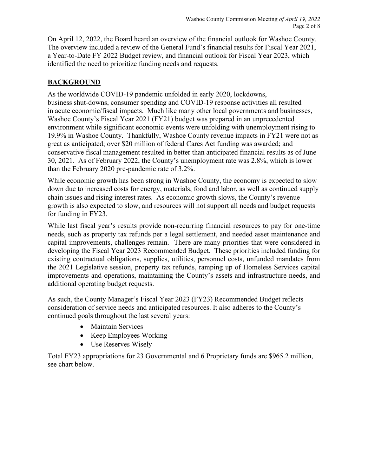On April 12, 2022, the Board heard an overview of the financial outlook for Washoe County. The overview included a review of the General Fund's financial results for Fiscal Year 2021, a Year-to-Date FY 2022 Budget review, and financial outlook for Fiscal Year 2023, which identified the need to prioritize funding needs and requests.

## **BACKGROUND**

As the worldwide COVID-19 pandemic unfolded in early 2020, lockdowns, business shut-downs, consumer spending and COVID-19 response activities all resulted in acute economic/fiscal impacts. Much like many other local governments and businesses, Washoe County's Fiscal Year 2021 (FY21) budget was prepared in an unprecedented environment while significant economic events were unfolding with unemployment rising to 19.9% in Washoe County. Thankfully, Washoe County revenue impacts in FY21 were not as great as anticipated; over \$20 million of federal Cares Act funding was awarded; and conservative fiscal management resulted in better than anticipated financial results as of June 30, 2021. As of February 2022, the County's unemployment rate was 2.8%, which is lower than the February 2020 pre-pandemic rate of 3.2%.

While economic growth has been strong in Washoe County, the economy is expected to slow down due to increased costs for energy, materials, food and labor, as well as continued supply chain issues and rising interest rates. As economic growth slows, the County's revenue growth is also expected to slow, and resources will not support all needs and budget requests for funding in FY23.

While last fiscal year's results provide non-recurring financial resources to pay for one-time needs, such as property tax refunds per a legal settlement, and needed asset maintenance and capital improvements, challenges remain. There are many priorities that were considered in developing the Fiscal Year 2023 Recommended Budget. These priorities included funding for existing contractual obligations, supplies, utilities, personnel costs, unfunded mandates from the 2021 Legislative session, property tax refunds, ramping up of Homeless Services capital improvements and operations, maintaining the County's assets and infrastructure needs, and additional operating budget requests.

As such, the County Manager's Fiscal Year 2023 (FY23) Recommended Budget reflects consideration of service needs and anticipated resources. It also adheres to the County's continued goals throughout the last several years:

- Maintain Services
- Keep Employees Working
- Use Reserves Wisely

Total FY23 appropriations for 23 Governmental and 6 Proprietary funds are \$965.2 million, see chart below.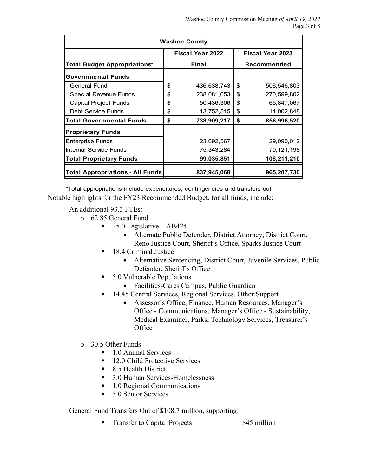| <b>Washoe County</b>                |                         |             |                         |             |  |
|-------------------------------------|-------------------------|-------------|-------------------------|-------------|--|
|                                     | <b>Fiscal Year 2022</b> |             | <b>Fiscal Year 2023</b> |             |  |
| <b>Total Budget Appropriations*</b> |                         | Final       | Recommended             |             |  |
| <b>Governmental Funds</b>           |                         |             |                         |             |  |
| <b>General Fund</b>                 | \$                      | 436,638,743 | \$                      | 506,546,803 |  |
| Special Revenue Funds               | \$                      | 238,081,653 | \$                      | 270,599,802 |  |
| Capital Project Funds               | \$                      | 50,436,306  | \$                      | 65,847,067  |  |
| Debt Service Funds                  | \$                      | 13,752,515  | \$                      | 14,002,848  |  |
| <b>Total Governmental Funds</b>     | \$                      | 738,909,217 | \$                      | 856,996,520 |  |
| <b>Proprietary Funds</b>            |                         |             |                         |             |  |
| <b>Enterprise Funds</b>             |                         | 23,692,567  |                         | 29,090,012  |  |
| Internal Service Funds              |                         | 75,343,284  |                         | 79,121,198  |  |
| Total Proprietary Funds             |                         | 99,035,851  |                         | 108,211,210 |  |
| Total Appropriations - All Funds    |                         | 837,945,068 |                         | 965,207,730 |  |

\*Total appropriations include expenditures, contingencies and transfers out Notable highlights for the FY23 Recommended Budget, for all funds, include:

#### An additional 93.3 FTEs:

- o 62.85 General Fund
	- $\blacksquare$  25.0 Legislative AB424
		- Alternate Public Defender, District Attorney, District Court, Reno Justice Court, Sheriff's Office, Sparks Justice Court
	- 18.4 Criminal Justice
		- Alternative Sentencing, District Court, Juvenile Services, Public Defender, Sheriff's Office
	- 5.0 Vulnerable Populations
		- Facilities-Cares Campus, Public Guardian
	- 14.45 Central Services, Regional Services, Other Support
		- Assessor's Office, Finance, Human Resources, Manager's Office - Communications, Manager's Office - Sustainability, Medical Examiner, Parks, Technology Services, Treasurer's **Office**
- o 30.5 Other Funds
	- 1.0 Animal Services
	- 12.0 Child Protective Services
	- 8.5 Health District
	- 3.0 Human Services-Homelessness
	- 1.0 Regional Communications
	- 5.0 Senior Services

General Fund Transfers Out of \$108.7 million, supporting:

Transfer to Capital Projects \$45 million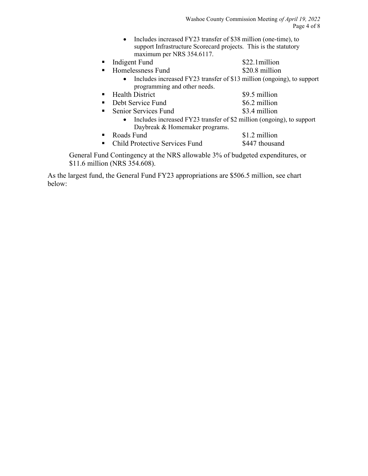• Includes increased FY23 transfer of \$38 million (one-time), to support Infrastructure Scorecard projects. This is the statutory maximum per NRS 354.6117.

| Indigent Fund | \$22.1million |
|---------------|---------------|
|               |               |

- Homelessness Fund \$20.8 million
	- Includes increased FY23 transfer of \$13 million (ongoing), to support programming and other needs.
- Health District \$9.5 million
- Debt Service Fund \$6.2 million
- Senior Services Fund \$3.4 million
	- Includes increased FY23 transfer of \$2 million (ongoing), to support Daybreak & Homemaker programs.
- Roads Fund \$1.2 million
- Child Protective Services Fund \$447 thousand

General Fund Contingency at the NRS allowable 3% of budgeted expenditures, or \$11.6 million (NRS 354.608).

As the largest fund, the General Fund FY23 appropriations are \$506.5 million, see chart below: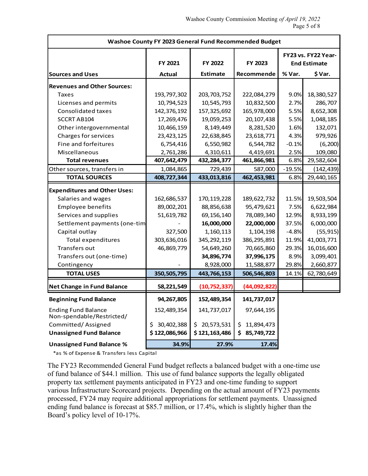| Washoe County FY 2023 General Fund Recommended Budget   |               |                 |                  |                                            |            |  |
|---------------------------------------------------------|---------------|-----------------|------------------|--------------------------------------------|------------|--|
|                                                         | FY 2021       | FY 2022         | FY 2023          | FY23 vs. FY22 Year-<br><b>End Estimate</b> |            |  |
| <b>Sources and Uses</b>                                 | <b>Actual</b> | <b>Estimate</b> | Recommende       | % Var.                                     | \$ Var.    |  |
| <b>Revenues and Other Sources:</b>                      |               |                 |                  |                                            |            |  |
| Taxes                                                   | 193,797,302   | 203, 703, 752   | 222,084,279      | 9.0%                                       | 18,380,527 |  |
| Licenses and permits                                    | 10,794,523    | 10,545,793      | 10,832,500       | 2.7%                                       | 286,707    |  |
| <b>Consolidated taxes</b>                               | 142,376,192   | 157,325,692     | 165,978,000      | 5.5%                                       | 8,652,308  |  |
| SCCRT AB104                                             | 17,269,476    | 19,059,253      | 20,107,438       | 5.5%                                       | 1,048,185  |  |
| Other intergovernmental                                 | 10,466,159    | 8,149,449       | 8,281,520        | 1.6%                                       | 132,071    |  |
| Charges for services                                    | 23,423,125    | 22,638,845      | 23,618,771       | 4.3%                                       | 979,926    |  |
| Fine and forfeitures                                    | 6,754,416     | 6,550,982       | 6,544,782        | $-0.1%$                                    | (6, 200)   |  |
| Miscellaneous                                           | 2,761,286     | 4,310,611       | 4,419,691        | 2.5%                                       | 109,080    |  |
| <b>Total revenues</b>                                   | 407,642,479   | 432,284,377     | 461,866,981      | 6.8%                                       | 29,582,604 |  |
| Other sources, transfers in                             | 1,084,865     | 729,439         | 587,000          | $-19.5%$                                   | (142, 439) |  |
| <b>TOTAL SOURCES</b>                                    | 408,727,344   | 433,013,816     | 462,453,981      | 6.8%                                       | 29,440,165 |  |
| <b>Expenditures and Other Uses:</b>                     |               |                 |                  |                                            |            |  |
| Salaries and wages                                      | 162,686,537   | 170, 119, 228   | 189,622,732      | 11.5%                                      | 19,503,504 |  |
| <b>Employee benefits</b>                                | 89,002,201    | 88,856,638      | 95,479,621       | 7.5%                                       | 6,622,984  |  |
| Services and supplies                                   | 51,619,782    | 69,156,140      | 78,089,340       | 12.9%                                      | 8,933,199  |  |
| Settlement payments (one-tim                            |               | 16,000,000      | 22,000,000       | 37.5%                                      | 6,000,000  |  |
| Capital outlay                                          | 327,500       | 1,160,113       | 1,104,198        | $-4.8%$                                    | (55, 915)  |  |
| <b>Total expenditures</b>                               | 303,636,016   | 345, 292, 119   | 386, 295, 891    | 11.9%                                      | 41,003,771 |  |
| Transfers out                                           | 46,869,779    | 54,649,260      | 70,665,860       | 29.3%                                      | 16,016,600 |  |
| Transfers out (one-time)                                |               | 34,896,774      | 37,996,175       | 8.9%                                       | 3,099,401  |  |
| Contingency                                             |               | 8,928,000       | 11,588,877       | 29.8%                                      | 2,660,877  |  |
| <b>TOTAL USES</b>                                       | 350,505,795   | 443,766,153     | 506,546,803      | 14.1%                                      | 62,780,649 |  |
| <b>Net Change in Fund Balance</b>                       | 58,221,549    | (10, 752, 337)  | (44,092,822)     |                                            |            |  |
| <b>Beginning Fund Balance</b>                           | 94,267,805    | 152,489,354     | 141,737,017      |                                            |            |  |
| <b>Ending Fund Balance</b><br>Non-spendable/Restricted/ | 152,489,354   | 141,737,017     | 97,644,195       |                                            |            |  |
| Committed/Assigned                                      | \$30,402,388  | \$20,573,531    | 11,894,473<br>\$ |                                            |            |  |
| <b>Unassigned Fund Balance</b>                          | \$122,086,966 | \$121,163,486   | \$85,749,722     |                                            |            |  |
| <b>Unassigned Fund Balance %</b>                        | 34.9%         | 27.9%           | 17.4%            |                                            |            |  |

\*as % of Expense & Transfers less Capital

The FY23 Recommended General Fund budget reflects a balanced budget with a one-time use of fund balance of \$44.1 million. This use of fund balance supports the legally obligated property tax settlement payments anticipated in FY23 and one-time funding to support various Infrastructure Scorecard projects. Depending on the actual amount of FY23 payments processed, FY24 may require additional appropriations for settlement payments. Unassigned ending fund balance is forecast at \$85.7 million, or 17.4%, which is slightly higher than the Board's policy level of 10-17%.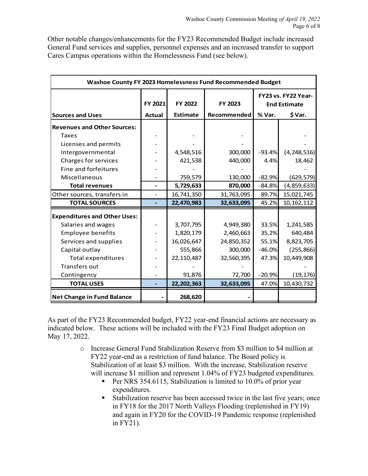Other notable changes/enhancements for the FY23 Recommended Budget include increased General Fund services and supplies, personnel expenses and an increased transfer to support Cares Campus operations within the Homelessness Fund (see below).

| Washoe County FY 2023 Homelessness Fund Recommended Budget |               |                 |             |                                            |               |  |
|------------------------------------------------------------|---------------|-----------------|-------------|--------------------------------------------|---------------|--|
|                                                            | FY 2021       | FY 2022         | FY 2023     | FY23 vs. FY22 Year-<br><b>End Estimate</b> |               |  |
| <b>Sources and Uses</b>                                    | <b>Actual</b> | <b>Estimate</b> | Recommended | % Var.<br>\$ Var.                          |               |  |
| <b>Revenues and Other Sources:</b>                         |               |                 |             |                                            |               |  |
| <b>Taxes</b>                                               |               |                 |             |                                            |               |  |
| Licenses and permits                                       |               |                 |             |                                            |               |  |
| Intergovernmental                                          |               | 4,548,516       | 300,000     | $-93.4%$                                   | (4, 248, 516) |  |
| Charges for services                                       |               | 421,538         | 440,000     | 4.4%                                       | 18,462        |  |
| Fine and forfeitures                                       |               |                 |             |                                            |               |  |
| Miscellaneous                                              |               | 759,579         | 130,000     | $-82.9%$                                   | (629, 579)    |  |
| <b>Total revenues</b>                                      |               | 5,729,633       | 870,000     | $-84.8%$                                   | (4,859,633)   |  |
| Other sources, transfers in                                |               | 16,741,350      | 31,763,095  | 89.7%                                      | 15,021,745    |  |
| <b>TOTAL SOURCES</b>                                       | ÷             | 22,470,983      | 32,633,095  | 45.2%                                      | 10, 162, 112  |  |
| <b>Expenditures and Other Uses:</b>                        |               |                 |             |                                            |               |  |
| Salaries and wages                                         |               | 3,707,795       | 4,949,380   | 33.5%                                      | 1,241,585     |  |
| <b>Employee benefits</b>                                   |               | 1,820,179       | 2,460,663   | 35.2%                                      | 640,484       |  |
| Services and supplies                                      |               | 16,026,647      | 24,850,352  | 55.1%                                      | 8,823,705     |  |
| Capital outlay                                             |               | 555,866         | 300,000     | $-46.0%$                                   | (255, 866)    |  |
| <b>Total expenditures</b>                                  |               | 22,110,487      | 32,560,395  | 47.3%                                      | 10,449,908    |  |
| <b>Transfers out</b>                                       |               |                 |             |                                            |               |  |
| Contingency                                                |               | 91,876          | 72,700      | $-20.9%$                                   | (19, 176)     |  |
| <b>TOTAL USES</b>                                          |               | 22,202,363      | 32,633,095  | 47.0%                                      | 10,430,732    |  |
| <b>Net Change in Fund Balance</b>                          |               | 268,620         |             |                                            |               |  |

As part of the FY23 Recommended budget, FY22 year-end financial actions are necessary as indicated below. These actions will be included with the FY23 Final Budget adoption on May 17, 2022.

- o Increase General Fund Stabilization Reserve from \$3 million to \$4 million at FY22 year-end as a restriction of fund balance. The Board policy is Stabilization of at least \$3 million. With the increase, Stabilization reserve will increase \$1 million and represent 1.04% of FY23 budgeted expenditures.
	- **Per NRS 354.6115, Stabilization is limited to 10.0% of prior year** expenditures.
	- Stabilization reserve has been accessed twice in the last five years; once in FY18 for the 2017 North Valleys Flooding (replenished in FY19) and again in FY20 for the COVID-19 Pandemic response (replenished in FY21).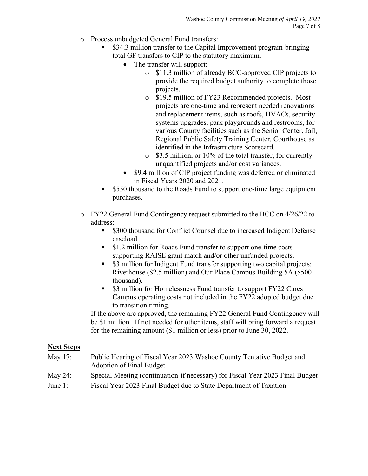- o Process unbudgeted General Fund transfers:
	- \$34.3 million transfer to the Capital Improvement program-bringing total GF transfers to CIP to the statutory maximum.
		- The transfer will support:
			- o \$11.3 million of already BCC-approved CIP projects to provide the required budget authority to complete those projects.
			- o \$19.5 million of FY23 Recommended projects. Most projects are one-time and represent needed renovations and replacement items, such as roofs, HVACs, security systems upgrades, park playgrounds and restrooms, for various County facilities such as the Senior Center, Jail, Regional Public Safety Training Center, Courthouse as identified in the Infrastructure Scorecard.
			- o \$3.5 million, or 10% of the total transfer, for currently unquantified projects and/or cost variances.
		- \$9.4 million of CIP project funding was deferred or eliminated in Fiscal Years 2020 and 2021.
	- **S550** thousand to the Roads Fund to support one-time large equipment purchases.
- o FY22 General Fund Contingency request submitted to the BCC on 4/26/22 to address:
	- \$300 thousand for Conflict Counsel due to increased Indigent Defense caseload.
	- **S1.2 million for Roads Fund transfer to support one-time costs** supporting RAISE grant match and/or other unfunded projects.
	- **53 million for Indigent Fund transfer supporting two capital projects:** Riverhouse (\$2.5 million) and Our Place Campus Building 5A (\$500 thousand).
	- \$3 million for Homelessness Fund transfer to support FY22 Cares Campus operating costs not included in the FY22 adopted budget due to transition timing.

If the above are approved, the remaining FY22 General Fund Contingency will be \$1 million. If not needed for other items, staff will bring forward a request for the remaining amount (\$1 million or less) prior to June 30, 2022.

#### **Next Steps**

- May 17: Public Hearing of Fiscal Year 2023 Washoe County Tentative Budget and Adoption of Final Budget
- May 24: Special Meeting (continuation-if necessary) for Fiscal Year 2023 Final Budget
- June 1: Fiscal Year 2023 Final Budget due to State Department of Taxation